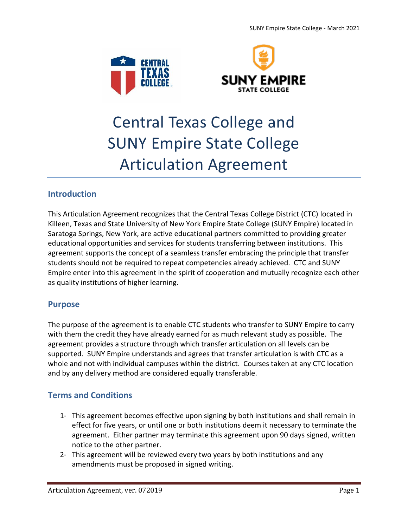



## Central Texas College and SUNY Empire State College Articulation Agreement

### **Introduction**

This Articulation Agreement recognizes that the Central Texas College District (CTC) located in Killeen, Texas and State University of New York Empire State College (SUNY Empire) located in Saratoga Springs, New York, are active educational partners committed to providing greater educational opportunities and services for students transferring between institutions. This agreement supports the concept of a seamless transfer embracing the principle that transfer students should not be required to repeat competencies already achieved. CTC and SUNY Empire enter into this agreement in the spirit of cooperation and mutually recognize each other as quality institutions of higher learning.

#### **Purpose**

The purpose of the agreement is to enable CTC students who transfer to SUNY Empire to carry with them the credit they have already earned for as much relevant study as possible. The agreement provides a structure through which transfer articulation on all levels can be supported. SUNY Empire understands and agrees that transfer articulation is with CTC as a whole and not with individual campuses within the district. Courses taken at any CTC location and by any delivery method are considered equally transferable.

#### **Terms and Conditions**

- 1- This agreement becomes effective upon signing by both institutions and shall remain in effect for five years, or until one or both institutions deem it necessary to terminate the agreement. Either partner may terminate this agreement upon 90 days signed, written notice to the other partner.
- 2- This agreement will be reviewed every two years by both institutions and any amendments must be proposed in signed writing.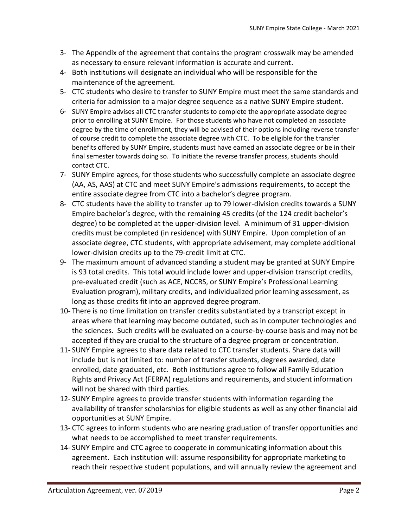- 3- The Appendix of the agreement that contains the program crosswalk may be amended as necessary to ensure relevant information is accurate and current.
- 4- Both institutions will designate an individual who will be responsible for the maintenance of the agreement.
- 5- CTC students who desire to transfer to SUNY Empire must meet the same standards and criteria for admission to a major degree sequence as a native SUNY Empire student.
- 6- SUNY Empire advises all CTC transfer students to complete the appropriate associate degree prior to enrolling at SUNY Empire. For those students who have not completed an associate degree by the time of enrollment, they will be advised of their options including reverse transfer of course credit to complete the associate degree with CTC. To be eligible for the transfer benefits offered by SUNY Empire, students must have earned an associate degree or be in their final semester towards doing so. To initiate the reverse transfer process, students should contact CTC.
- 7- SUNY Empire agrees, for those students who successfully complete an associate degree (AA, AS, AAS) at CTC and meet SUNY Empire's admissions requirements, to accept the entire associate degree from CTC into a bachelor's degree program.
- 8- CTC students have the ability to transfer up to 79 lower-division credits towards a SUNY Empire bachelor's degree, with the remaining 45 credits (of the 124 credit bachelor's degree) to be completed at the upper-division level. A minimum of 31 upper-division credits must be completed (in residence) with SUNY Empire. Upon completion of an associate degree, CTC students, with appropriate advisement, may complete additional lower-division credits up to the 79-credit limit at CTC.
- 9- The maximum amount of advanced standing a student may be granted at SUNY Empire is 93 total credits. This total would include lower and upper-division transcript credits, pre-evaluated credit (such as ACE, NCCRS, or SUNY Empire's Professional Learning Evaluation program), military credits, and individualized prior learning assessment, as long as those credits fit into an approved degree program.
- 10- There is no time limitation on transfer credits substantiated by a transcript except in areas where that learning may become outdated, such as in computer technologies and the sciences. Such credits will be evaluated on a course-by-course basis and may not be accepted if they are crucial to the structure of a degree program or concentration.
- 11- SUNY Empire agrees to share data related to CTC transfer students. Share data will include but is not limited to: number of transfer students, degrees awarded, date enrolled, date graduated, etc. Both institutions agree to follow all Family Education Rights and Privacy Act (FERPA) regulations and requirements, and student information will not be shared with third parties.
- 12- SUNY Empire agrees to provide transfer students with information regarding the availability of transfer scholarships for eligible students as well as any other financial aid opportunities at SUNY Empire.
- 13- CTC agrees to inform students who are nearing graduation of transfer opportunities and what needs to be accomplished to meet transfer requirements.
- 14- SUNY Empire and CTC agree to cooperate in communicating information about this agreement. Each institution will: assume responsibility for appropriate marketing to reach their respective student populations, and will annually review the agreement and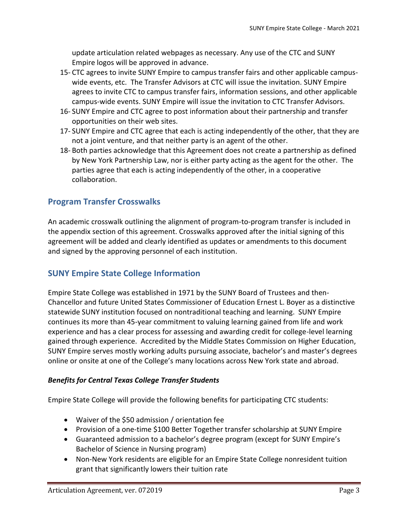update articulation related webpages as necessary. Any use of the CTC and SUNY Empire logos will be approved in advance.

- 15- CTC agrees to invite SUNY Empire to campus transfer fairs and other applicable campuswide events, etc. The Transfer Advisors at CTC will issue the invitation. SUNY Empire agrees to invite CTC to campus transfer fairs, information sessions, and other applicable campus-wide events. SUNY Empire will issue the invitation to CTC Transfer Advisors.
- 16- SUNY Empire and CTC agree to post information about their partnership and transfer opportunities on their web sites.
- 17- SUNY Empire and CTC agree that each is acting independently of the other, that they are not a joint venture, and that neither party is an agent of the other.
- 18- Both parties acknowledge that this Agreement does not create a partnership as defined by New York Partnership Law, nor is either party acting as the agent for the other. The parties agree that each is acting independently of the other, in a cooperative collaboration.

### **Program Transfer Crosswalks**

An academic crosswalk outlining the alignment of program-to-program transfer is included in the appendix section of this agreement. Crosswalks approved after the initial signing of this agreement will be added and clearly identified as updates or amendments to this document and signed by the approving personnel of each institution.

#### **SUNY Empire State College Information**

Empire State College was established in 1971 by the SUNY Board of Trustees and then-Chancellor and future United States Commissioner of Education Ernest L. Boyer as a distinctive statewide SUNY institution focused on nontraditional teaching and learning. SUNY Empire continues its more than 45-year commitment to valuing learning gained from life and work experience and has a clear process for assessing and awarding credit for college-level learning gained through experience. Accredited by the Middle States Commission on Higher Education, SUNY Empire serves mostly working adults pursuing associate, bachelor's and master's degrees online or onsite at one of the College's many locations across New York state and abroad.

#### *Benefits for Central Texas College Transfer Students*

Empire State College will provide the following benefits for participating CTC students:

- Waiver of the \$50 admission / orientation fee
- Provision of a one-time \$100 Better Together transfer scholarship at SUNY Empire
- Guaranteed admission to a bachelor's degree program (except for SUNY Empire's Bachelor of Science in Nursing program)
- Non-New York residents are eligible for an Empire State College nonresident tuition grant that significantly lowers their tuition rate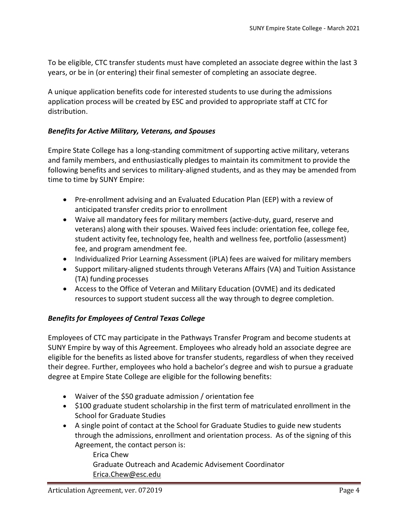To be eligible, CTC transfer students must have completed an associate degree within the last 3 years, or be in (or entering) their final semester of completing an associate degree.

A unique application benefits code for interested students to use during the admissions application process will be created by ESC and provided to appropriate staff at CTC for distribution.

#### *Benefits for Active Military, Veterans, and Spouses*

Empire State College has a long-standing commitment of supporting active military, veterans and family members, and enthusiastically pledges to maintain its commitment to provide the following benefits and services to military-aligned students, and as they may be amended from time to time by SUNY Empire:

- Pre-enrollment advising and an Evaluated Education Plan (EEP) with a review of anticipated transfer credits prior to enrollment
- Waive all mandatory fees for military members (active-duty, guard, reserve and veterans) along with their spouses. Waived fees include: orientation fee, college fee, student activity fee, technology fee, health and wellness fee, portfolio (assessment) fee, and program amendment fee.
- Individualized Prior Learning Assessment (iPLA) fees are waived for military members
- Support military-aligned students through Veterans Affairs (VA) and Tuition Assistance (TA) funding processes
- Access to the Office of Veteran and Military Education (OVME) and its dedicated resources to support student success all the way through to degree completion.

#### *Benefits for Employees of Central Texas College*

Employees of CTC may participate in the Pathways Transfer Program and become students at SUNY Empire by way of this Agreement. Employees who already hold an associate degree are eligible for the benefits as listed above for transfer students, regardless of when they received their degree. Further, employees who hold a bachelor's degree and wish to pursue a graduate degree at Empire State College are eligible for the following benefits:

- Waiver of the \$50 graduate admission / orientation fee
- \$100 graduate student scholarship in the first term of matriculated enrollment in the School for Graduate Studies
- A single point of contact at the School for Graduate Studies to guide new students through the admissions, enrollment and orientation process. As of the signing of this Agreement, the contact person is:

Erica Chew Graduate Outreach and Academic Advisement Coordinator [Erica.Chew@esc.edu](mailto:Erica.Chew@esc.edu)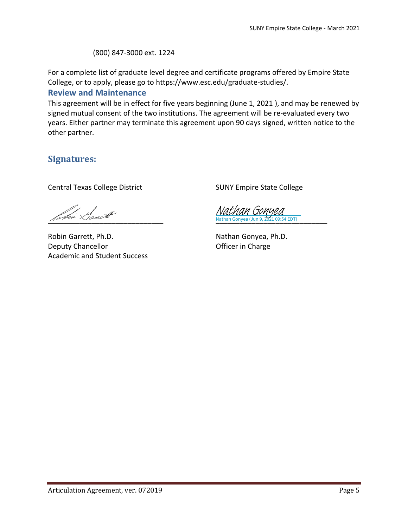(800) 847-3000 ext. 1224

For a complete list of graduate level degree and certificate programs offered by Empire State College, or to apply, please go to https:/[/www.esc.edu/graduate-studies/.](http://www.esc.edu/graduate-studies/)

#### **Review and Maintenance**

This agreement will be in effect for five years beginning (June 1, 2021 ), and may be renewed by signed mutual consent of the two institutions. The agreement will be re-evaluated every two years. Either partner may terminate this agreement upon 90 days signed, written notice to the other partner.

### **Signatures:**

Central Texas College District

afui Lanist

Robin Garrett, Ph.D. Deputy Chancellor Academic and Student Success

SUNY Empire State College

\_\_\_\_\_\_\_\_\_\_\_\_\_\_\_\_\_\_\_\_\_\_\_\_\_\_\_\_ Nathan Gonyea (Jun 9, 2021 09:54 EDT) [Nathan Gonyea](https://na1.documents.adobe.com/verifier?tx=CBJCHBCAABAAv2rvKIchVU6rDXb7PgNretNO47O5kLiO)

Nathan Gonyea, Ph.D. Officer in Charge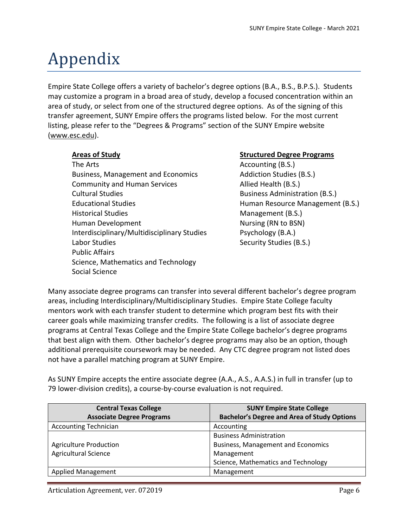# Appendix

Empire State College offers a variety of bachelor's degree options (B.A., B.S., B.P.S.). Students may customize a program in a broad area of study, develop a focused concentration within an area of study, or select from one of the structured degree options. As of the signing of this transfer agreement, SUNY Empire offers the programs listed below. For the most current listing, please refer to the "Degrees & Programs" section of the SUNY Empire website (www.esc.edu).

The Arts **Accounting (B.S.) Accounting (B.S.)** Business, Management and Economics **Addiction Studies (B.S.)** Community and Human Services Allied Health (B.S.) Cultural Studies **Business Administration (B.S.)** Educational Studies **Human Resource Management (B.S.)** Historical Studies Management (B.S.) Human Development **Nursing (RN** to BSN) Interdisciplinary/Multidisciplinary Studies Psychology (B.A.) Labor Studies **Security Studies** (B.S.) Public Affairs Science, Mathematics and Technology Social Science

#### **Areas of Study Structured Degree Programs**

Many associate degree programs can transfer into several different bachelor's degree program areas, including Interdisciplinary/Multidisciplinary Studies. Empire State College faculty mentors work with each transfer student to determine which program best fits with their career goals while maximizing transfer credits. The following is a list of associate degree programs at Central Texas College and the Empire State College bachelor's degree programs that best align with them. Other bachelor's degree programs may also be an option, though additional prerequisite coursework may be needed. Any CTC degree program not listed does not have a parallel matching program at SUNY Empire.

As SUNY Empire accepts the entire associate degree (A.A., A.S., A.A.S.) in full in transfer (up to 79 lower-division credits), a course-by-course evaluation is not required.

| <b>Central Texas College</b>     | <b>SUNY Empire State College</b>                   |
|----------------------------------|----------------------------------------------------|
| <b>Associate Degree Programs</b> | <b>Bachelor's Degree and Area of Study Options</b> |
| <b>Accounting Technician</b>     | Accounting                                         |
|                                  | <b>Business Administration</b>                     |
| <b>Agriculture Production</b>    | <b>Business, Management and Economics</b>          |
| <b>Agricultural Science</b>      | Management                                         |
|                                  | Science, Mathematics and Technology                |
| <b>Applied Management</b>        | Management                                         |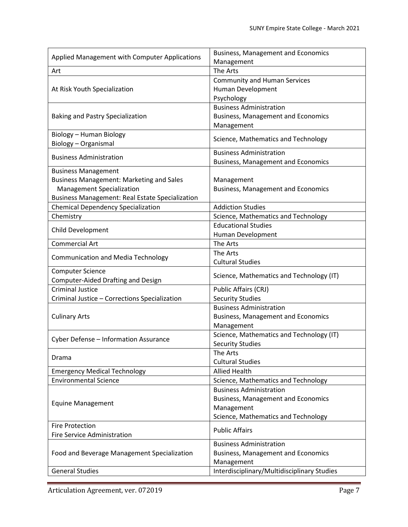| Applied Management with Computer Applications          | <b>Business, Management and Economics</b><br>Management   |
|--------------------------------------------------------|-----------------------------------------------------------|
| Art                                                    | The Arts                                                  |
|                                                        | <b>Community and Human Services</b>                       |
| At Risk Youth Specialization                           | Human Development                                         |
|                                                        | Psychology                                                |
|                                                        | <b>Business Administration</b>                            |
| <b>Baking and Pastry Specialization</b>                | <b>Business, Management and Economics</b>                 |
|                                                        | Management                                                |
| Biology - Human Biology                                |                                                           |
| Biology - Organismal                                   | Science, Mathematics and Technology                       |
|                                                        | <b>Business Administration</b>                            |
| <b>Business Administration</b>                         | <b>Business, Management and Economics</b>                 |
| <b>Business Management</b>                             |                                                           |
| <b>Business Management: Marketing and Sales</b>        | Management                                                |
| <b>Management Specialization</b>                       | <b>Business, Management and Economics</b>                 |
| <b>Business Management: Real Estate Specialization</b> |                                                           |
| <b>Chemical Dependency Specialization</b>              | <b>Addiction Studies</b>                                  |
| Chemistry                                              | Science, Mathematics and Technology                       |
|                                                        | <b>Educational Studies</b>                                |
| Child Development                                      | Human Development                                         |
| <b>Commercial Art</b>                                  | The Arts                                                  |
| <b>Communication and Media Technology</b>              | The Arts                                                  |
|                                                        | <b>Cultural Studies</b>                                   |
| <b>Computer Science</b>                                | Science, Mathematics and Technology (IT)                  |
| Computer-Aided Drafting and Design                     |                                                           |
| <b>Criminal Justice</b>                                | Public Affairs (CRJ)                                      |
| Criminal Justice - Corrections Specialization          | <b>Security Studies</b>                                   |
|                                                        | <b>Business Administration</b>                            |
| <b>Culinary Arts</b>                                   | <b>Business, Management and Economics</b>                 |
|                                                        | Management                                                |
| Cyber Defense - Information Assurance                  | Science, Mathematics and Technology (IT)                  |
|                                                        | <b>Security Studies</b>                                   |
| Drama                                                  | The Arts                                                  |
|                                                        | <b>Cultural Studies</b>                                   |
| <b>Emergency Medical Technology</b>                    | <b>Allied Health</b>                                      |
| <b>Environmental Science</b>                           | Science, Mathematics and Technology                       |
| <b>Equine Management</b>                               | <b>Business Administration</b>                            |
|                                                        | <b>Business, Management and Economics</b>                 |
|                                                        | Management                                                |
|                                                        |                                                           |
|                                                        | Science, Mathematics and Technology                       |
| <b>Fire Protection</b>                                 | <b>Public Affairs</b>                                     |
| <b>Fire Service Administration</b>                     |                                                           |
|                                                        | <b>Business Administration</b>                            |
| Food and Beverage Management Specialization            | <b>Business, Management and Economics</b>                 |
| <b>General Studies</b>                                 | Management<br>Interdisciplinary/Multidisciplinary Studies |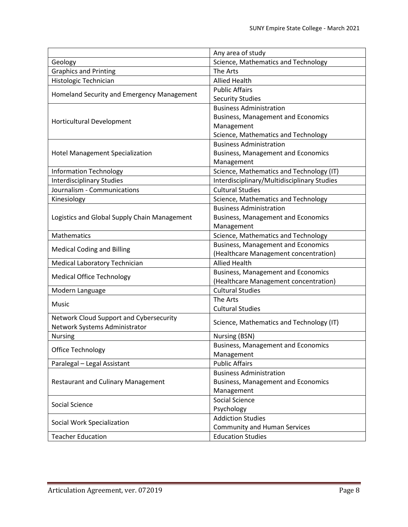|                                              | Any area of study                           |
|----------------------------------------------|---------------------------------------------|
| Geology                                      | Science, Mathematics and Technology         |
| <b>Graphics and Printing</b>                 | The Arts                                    |
| Histologic Technician                        | <b>Allied Health</b>                        |
|                                              | <b>Public Affairs</b>                       |
| Homeland Security and Emergency Management   | <b>Security Studies</b>                     |
|                                              | <b>Business Administration</b>              |
|                                              | <b>Business, Management and Economics</b>   |
| <b>Horticultural Development</b>             | Management                                  |
|                                              | Science, Mathematics and Technology         |
|                                              | <b>Business Administration</b>              |
| <b>Hotel Management Specialization</b>       | <b>Business, Management and Economics</b>   |
|                                              | Management                                  |
| <b>Information Technology</b>                | Science, Mathematics and Technology (IT)    |
| <b>Interdisciplinary Studies</b>             | Interdisciplinary/Multidisciplinary Studies |
| Journalism - Communications                  | <b>Cultural Studies</b>                     |
| Kinesiology                                  | Science, Mathematics and Technology         |
|                                              | <b>Business Administration</b>              |
| Logistics and Global Supply Chain Management | <b>Business, Management and Economics</b>   |
|                                              | Management                                  |
| Mathematics                                  | Science, Mathematics and Technology         |
|                                              | <b>Business, Management and Economics</b>   |
| <b>Medical Coding and Billing</b>            | (Healthcare Management concentration)       |
| Medical Laboratory Technician                | <b>Allied Health</b>                        |
|                                              | <b>Business, Management and Economics</b>   |
| <b>Medical Office Technology</b>             | (Healthcare Management concentration)       |
| Modern Language                              | <b>Cultural Studies</b>                     |
| Music                                        | The Arts                                    |
|                                              | <b>Cultural Studies</b>                     |
| Network Cloud Support and Cybersecurity      | Science, Mathematics and Technology (IT)    |
| Network Systems Administrator                |                                             |
| Nursing                                      | Nursing (BSN)                               |
|                                              | <b>Business, Management and Economics</b>   |
| Office Technology                            | Management                                  |
| Paralegal - Legal Assistant                  | <b>Public Affairs</b>                       |
| <b>Restaurant and Culinary Management</b>    | <b>Business Administration</b>              |
|                                              | <b>Business, Management and Economics</b>   |
|                                              | Management                                  |
| Social Science                               | Social Science                              |
|                                              | Psychology                                  |
| Social Work Specialization                   | <b>Addiction Studies</b>                    |
|                                              | <b>Community and Human Services</b>         |
| <b>Teacher Education</b>                     | <b>Education Studies</b>                    |